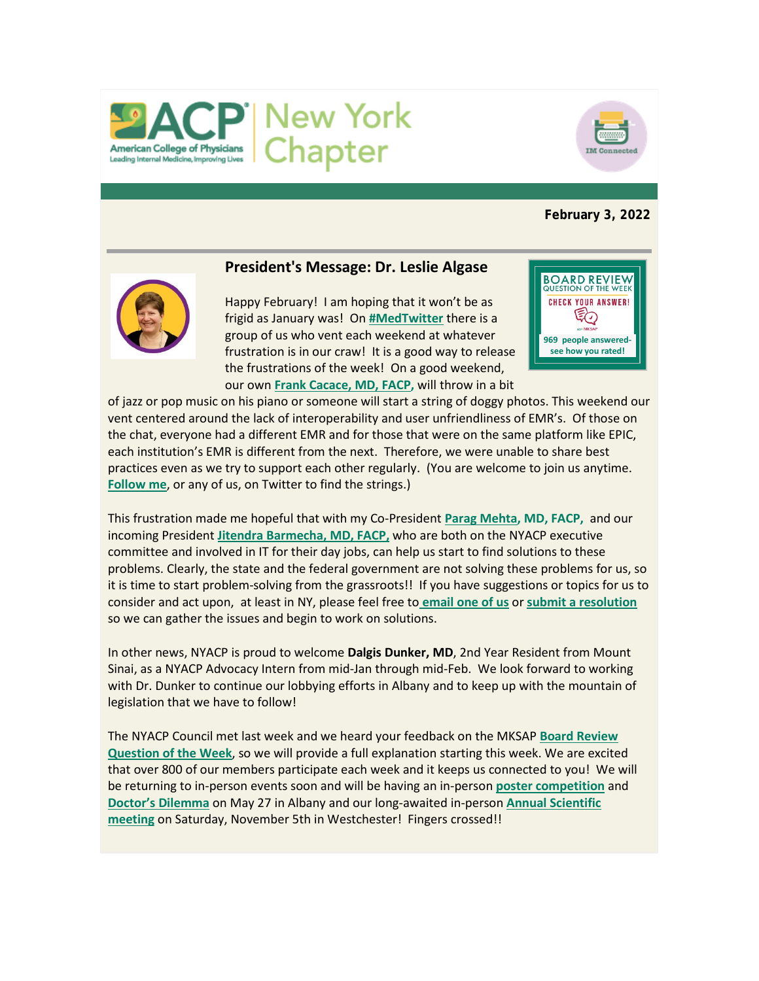



## **February 3, 2022**



# **President's Message: Dr. Leslie Algase**

Happy February! I am hoping that it won't be as frigid as January was! On **[#MedTwitter](https://twitter.com/hashtag/medtwitter?ref_src=twsrc%5Egoogle%7Ctwcamp%5Eserp%7Ctwgr%5Ehashtag)** there is a group of us who vent each weekend at whatever frustration is in our craw! It is a good way to release the frustrations of the week! On a good weekend, our own **[Frank Cacace, MD, FACP,](https://twitter.com/GIMaPreceptor)** will throw in a bit



of jazz or pop music on his piano or someone will start a string of doggy photos. This weekend our vent centered around the lack of interoperability and user unfriendliness of EMR's. Of those on the chat, everyone had a different EMR and for those that were on the same platform like EPIC, each institution's EMR is different from the next. Therefore, we were unable to share best practices even as we try to support each other regularly. (You are welcome to join us anytime. **[Follow me](https://twitter.com/AlgaseLeslie)**, or any of us, on Twitter to find the strings.)

This frustration made me hopeful that with my Co-President **[Parag Mehta,](https://twitter.com/ParagMehta6) MD, FACP,** and our incoming President **[Jitendra Barmecha, MD, FACP,](https://twitter.com/barmechaj)** who are both on the NYACP executive committee and involved in IT for their day jobs, can help us start to find solutions to these problems. Clearly, the state and the federal government are not solving these problems for us, so it is time to start problem-solving from the grassroots!! If you have suggestions or topics for us to consider and act upon, at least in NY, please feel free to **email [one of us](mailto:governors@nyacp.org)** or **[submit a resolution](https://www.nyacp.org/i4a/forms/index.cfm?id=19&widgetPreview=01)** so we can gather the issues and begin to work on solutions.

In other news, NYACP is proud to welcome **Dalgis Dunker, MD**, 2nd Year Resident from Mount Sinai, as a NYACP Advocacy Intern from mid-Jan through mid-Feb. We look forward to working with Dr. Dunker to continue our lobbying efforts in Albany and to keep up with the mountain of legislation that we have to follow!

The NYACP Council met last week and we heard your feedback on the MKSAP **[Board Review](https://www.nyacp.org/i4a/pages/index.cfm?pageid=3905)  [Question of the Week](https://www.nyacp.org/i4a/pages/index.cfm?pageid=3905)**, so we will provide a full explanation starting this week. We are excited that over 800 of our members participate each week and it keeps us connected to you! We will be returning to in-person events soon and will be having an in-person **[poster competition](https://www.nyacp.org/i4a/pages/index.cfm?pageid=3414)** and **[Doctor's Dilemma](https://www.nyacp.org/i4a/pages/index.cfm?pageid=3950)** on May 27 in Albany and our long-awaited in-person **[Annual Scientific](https://www.nyacp.org/i4a/pages/index.cfm?pageid=3535)  [meeting](https://www.nyacp.org/i4a/pages/index.cfm?pageid=3535)** on Saturday, November 5th in Westchester! Fingers crossed!!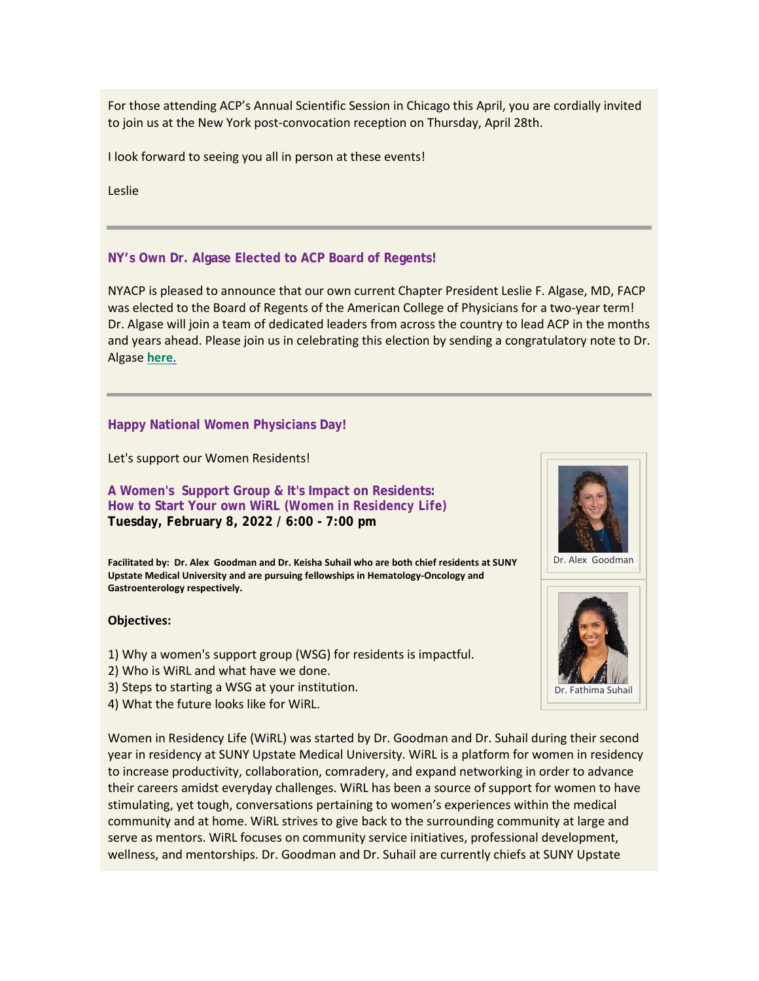For those attending ACP's Annual Scientific Session in Chicago this April, you are cordially invited to join us at the New York post-convocation reception on Thursday, April 28th.

I look forward to seeing you all in person at these events!

Leslie

## **NY's Own Dr. Algase Elected to ACP Board of Regents!**

NYACP is pleased to announce that our own current Chapter President Leslie F. Algase, MD, FACP was elected to the Board of Regents of the American College of Physicians for a two-year term! Dr. Algase will join a team of dedicated leaders from across the country to lead ACP in the months and years ahead. Please join us in celebrating this election by sending a congratulatory note to Dr. Algase **[here](mailto:Governors@nyacp.org)**.

## **Happy National Women Physicians Day!**

Let's support our Women Residents!

**A Women's Support Group & It's Impact on Residents: How to Start Your own WiRL** *(Women in Residency Life)* **Tuesday, February 8, 2022 / 6:00 - 7:00 pm**

**Facilitated by: Dr. Alex Goodman and Dr. Keisha Suhail who are both chief residents at SUNY Upstate Medical University and are pursuing fellowships in Hematology-Oncology and Gastroenterology respectively.**

#### **Objectives:**

- 1) Why a women's support group (WSG) for residents is impactful.
- 2) Who is WiRL and what have we done.
- 3) Steps to starting a WSG at your institution.
- 4) What the future looks like for WiRL.

Women in Residency Life (WiRL) was started by Dr. Goodman and Dr. Suhail during their second year in residency at SUNY Upstate Medical University. WiRL is a platform for women in residency to increase productivity, collaboration, comradery, and expand networking in order to advance their careers amidst everyday challenges. WiRL has been a source of support for women to have stimulating, yet tough, conversations pertaining to women's experiences within the medical community and at home. WiRL strives to give back to the surrounding community at large and serve as mentors. WiRL focuses on community service initiatives, professional development, wellness, and mentorships. Dr. Goodman and Dr. Suhail are currently chiefs at SUNY Upstate



Dr. Alex Goodman

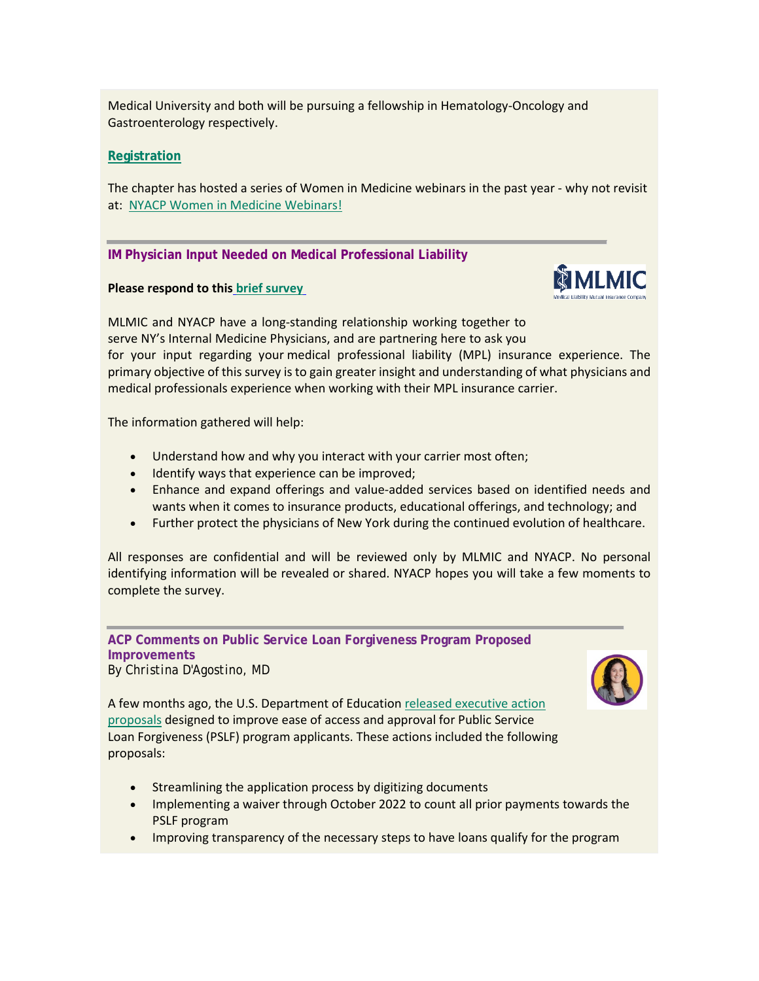Medical University and both will be pursuing a fellowship in Hematology-Oncology and Gastroenterology respectively.

# **[Registration](https://us02web.zoom.us/meeting/register/tZMscOyurT4tGdXpXbrzqs3nsNUGSmq4lVME)**

The chapter has hosted a series of Women in Medicine webinars in the past year - why not revisit at: [NYACP Women in Medicine Webinars!](https://www.nyacp.org/i4a/pages/index.cfm?pageid=3896)

## **IM Physician Input Needed on Medical Professional Liability**

### **Please respond to this [brief survey](https://www.surveymonkey.com/r/PSFDSKY)**



MLMIC and NYACP have a long-standing relationship working together to serve NY's Internal Medicine Physicians, and are partnering here to ask you for your input regarding your medical professional liability (MPL) insurance experience. The primary objective of this survey is to gain greater insight and understanding of what physicians and medical professionals experience when working with their MPL insurance carrier.

The information gathered will help:

- Understand how and why you interact with your carrier most often;
- Identify ways that experience can be improved;
- Enhance and expand offerings and value-added services based on identified needs and wants when it comes to insurance products, educational offerings, and technology; and
- Further protect the physicians of New York during the continued evolution of healthcare.

All responses are confidential and will be reviewed only by MLMIC and NYACP. No personal identifying information will be revealed or shared. NYACP hopes you will take a few moments to complete the survey.

**ACP Comments on Public Service Loan Forgiveness Program Proposed Improvements** *By Christina D'Agostino, MD*



A few months ago, the U.S. Department of Educatio[n released executive action](https://www.ed.gov/news/press-releases/us-department-education-announces-transformational-changes-public-service-loan-forgiveness-program-will-put-over-550000-public-service-workers-closer-loan-forgiveness)  [proposals](https://www.ed.gov/news/press-releases/us-department-education-announces-transformational-changes-public-service-loan-forgiveness-program-will-put-over-550000-public-service-workers-closer-loan-forgiveness) designed to improve ease of access and approval for Public Service Loan Forgiveness (PSLF) program applicants. These actions included the following proposals:

- Streamlining the application process by digitizing documents
- Implementing a waiver through October 2022 to count all prior payments towards the PSLF program
- Improving transparency of the necessary steps to have loans qualify for the program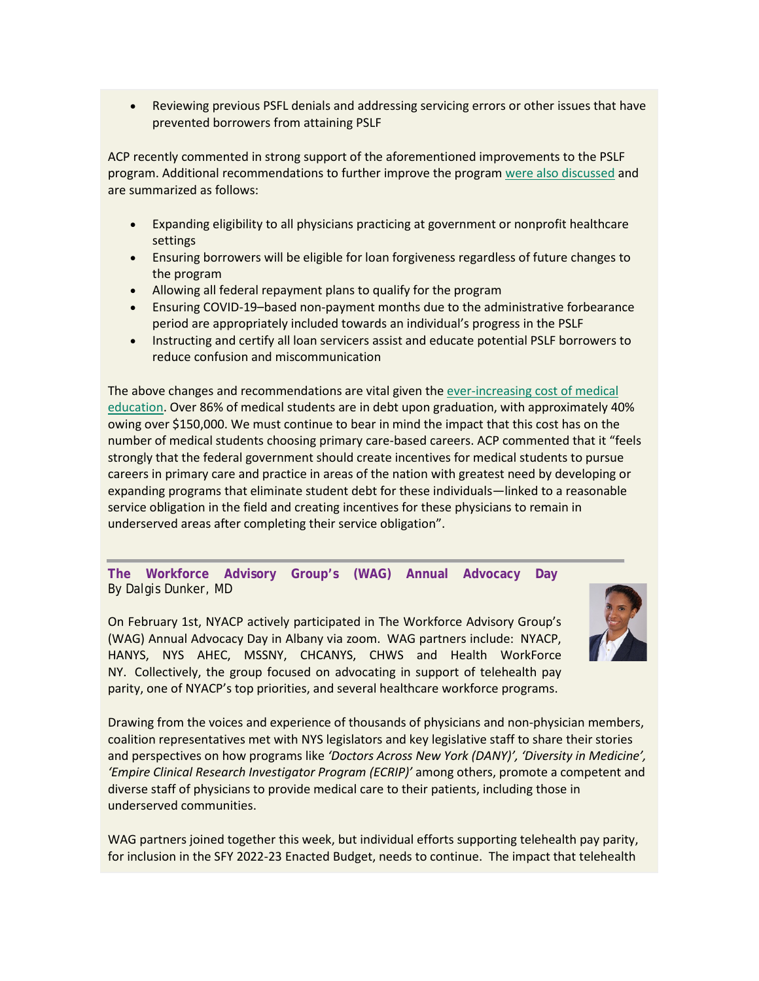• Reviewing previous PSFL denials and addressing servicing errors or other issues that have prevented borrowers from attaining PSLF

ACP recently commented in strong support of the aforementioned improvements to the PSLF program. Additional recommendations to further improve the progra[m were also discussed](https://www.acponline.org/acp_policy/letters/acp_letter_to_the_department_of_education_regarding_the_public_service_loan_forgiveness_program_jan_2022.pdf) and are summarized as follows:

- Expanding eligibility to all physicians practicing at government or nonprofit healthcare settings
- Ensuring borrowers will be eligible for loan forgiveness regardless of future changes to the program
- Allowing all federal repayment plans to qualify for the program
- Ensuring COVID-19–based non-payment months due to the administrative forbearance period are appropriately included towards an individual's progress in the PSLF
- Instructing and certify all loan servicers assist and educate potential PSLF borrowers to reduce confusion and miscommunication

The above changes and recommendations are vital given th[e ever-increasing cost of medical](https://www.amsa.org/action-committee/wellness-student-life-action-committee/medical-student-debt/)  [education.](https://www.amsa.org/action-committee/wellness-student-life-action-committee/medical-student-debt/) Over 86% of medical students are in debt upon graduation, with approximately 40% owing over \$150,000. We must continue to bear in mind the impact that this cost has on the number of medical students choosing primary care-based careers. ACP commented that it "feels strongly that the federal government should create incentives for medical students to pursue careers in primary care and practice in areas of the nation with greatest need by developing or expanding programs that eliminate student debt for these individuals—linked to a reasonable service obligation in the field and creating incentives for these physicians to remain in underserved areas after completing their service obligation".

**The Workforce Advisory Group's (WAG) Annual Advocacy Day** *By Dalgis Dunker, MD*

On February 1st, NYACP actively participated in The Workforce Advisory Group's (WAG) Annual Advocacy Day in Albany via zoom. WAG partners include: NYACP, HANYS, NYS AHEC, MSSNY, CHCANYS, CHWS and Health WorkForce NY. Collectively, the group focused on advocating in support of telehealth pay parity, one of NYACP's top priorities, and several healthcare workforce programs.



Drawing from the voices and experience of thousands of physicians and non-physician members, coalition representatives met with NYS legislators and key legislative staff to share their stories and perspectives on how programs like *'Doctors Across New York (DANY)', 'Diversity in Medicine', 'Empire Clinical Research Investigator Program (ECRIP)'* among others, promote a competent and diverse staff of physicians to provide medical care to their patients, including those in underserved communities.

WAG partners joined together this week, but individual efforts supporting telehealth pay parity, for inclusion in the SFY 2022-23 Enacted Budget, needs to continue. The impact that telehealth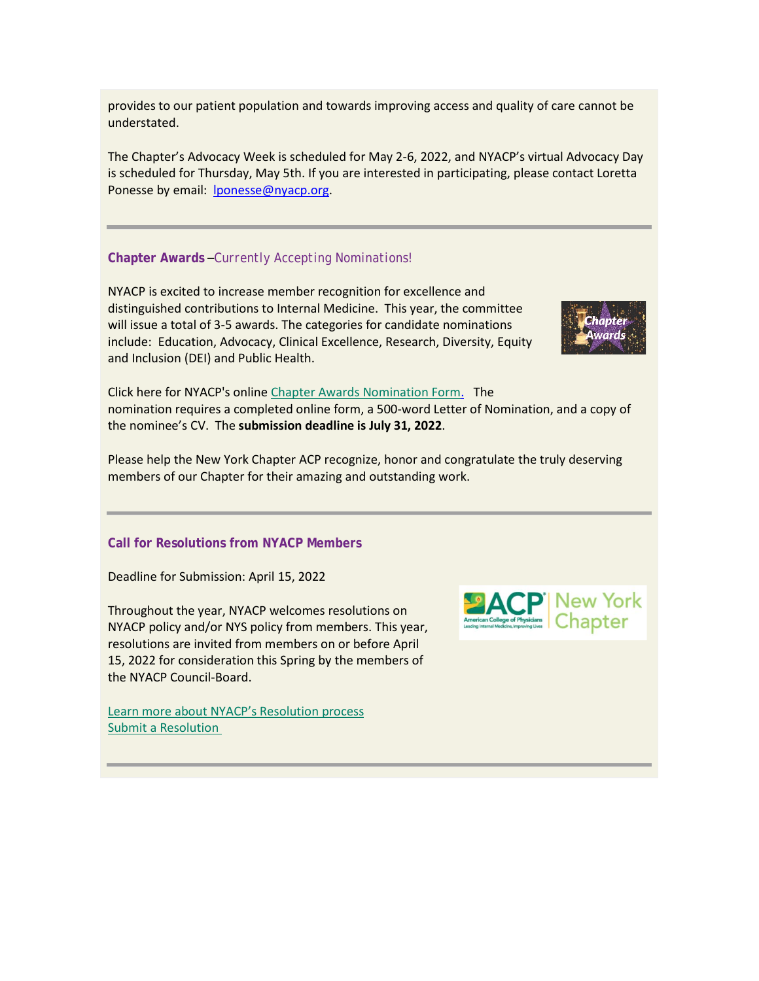provides to our patient population and towards improving access and quality of care cannot be understated.

The Chapter's Advocacy Week is scheduled for May 2-6, 2022, and NYACP's virtual Advocacy Day is scheduled for Thursday, May 5th. If you are interested in participating, please contact Loretta Ponesse by email: [lponesse@nyacp.org.](mailto:lponesse@nyacp.org)

## **Chapter Awards** –*Currently Accepting Nominations!*

NYACP is excited to increase member recognition for excellence and distinguished contributions to Internal Medicine. This year, the committee will issue a total of 3-5 awards. The categories for candidate nominations include: Education, Advocacy, Clinical Excellence, Research, Diversity, Equity and Inclusion (DEI) and Public Health.



Click here for NYACP's onlin[e Chapter Awards Nomination Form.](https://www.nyacp.org/i4a/forms/index.cfm?id=435) The nomination requires a completed online form, a 500-word Letter of Nomination, and a copy of the nominee's CV. The **submission deadline is July 31, 2022**.

Please help the New York Chapter ACP recognize, honor and congratulate the truly deserving members of our Chapter for their amazing and outstanding work.

## **Call for Resolutions from NYACP Members**

Deadline for Submission: April 15, 2022

Throughout the year, NYACP welcomes resolutions on NYACP policy and/or NYS policy from members. This year, resolutions are invited from members on or before April 15, 2022 for consideration this Spring by the members of the NYACP Council-Board.

[Learn more about NYACP's Resolution process](https://www.nyacp.org/resolution) [Submit a Resolution](https://www.nyacp.org/i4a/forms/index.cfm?id=19&widgetPreview=01)

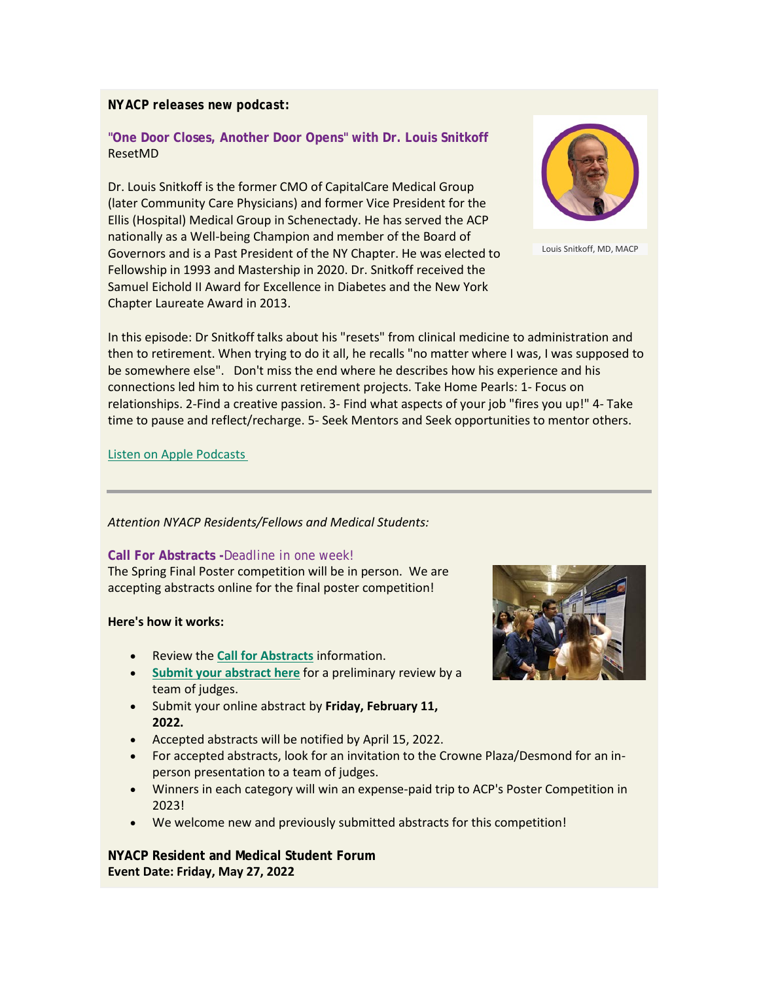## *NYACP releases new podcast:*

# **"One Door Closes, Another Door Opens" with Dr. Louis Snitkoff** ResetMD

Dr. Louis Snitkoff is the former CMO of CapitalCare Medical Group (later Community Care Physicians) and former Vice President for the Ellis (Hospital) Medical Group in Schenectady. He has served the ACP nationally as a Well-being Champion and member of the Board of Governors and is a Past President of the NY Chapter. He was elected to Fellowship in 1993 and Mastership in 2020. Dr. Snitkoff received the Samuel Eichold II Award for Excellence in Diabetes and the New York Chapter Laureate Award in 2013.



Louis Snitkoff, MD, MACP

In this episode: Dr Snitkoff talks about his "resets" from clinical medicine to administration and then to retirement. When trying to do it all, he recalls "no matter where I was, I was supposed to be somewhere else". Don't miss the end where he describes how his experience and his connections led him to his current retirement projects. Take Home Pearls: 1- Focus on relationships. 2-Find a creative passion. 3- Find what aspects of your job "fires you up!" 4- Take time to pause and reflect/recharge. 5- Seek Mentors and Seek opportunities to mentor others.

### [Listen on Apple Podcasts](https://podcasts.apple.com/us/podcast/resetmd/id1584690817?i=1000549032258)

#### *Attention NYACP Residents/Fellows and Medical Students:*

#### **Call For Abstracts -***Deadline in one week!*

The Spring Final Poster competition will be in person. We are accepting abstracts online for the final poster competition!

#### **Here's how it works:**

- Review the **[Call for Abstracts](https://www.nyacp.org/i4a/pages/index.cfm?pageid=3964)** information.
- **[Submit your abstract](https://www.nyacp.org/i4a/forms/index.cfm?id=436) here** for a preliminary review by a team of judges.
- Submit your online abstract by **Friday, February 11, 2022.**
- Accepted abstracts will be notified by April 15, 2022.
- For accepted abstracts, look for an invitation to the Crowne Plaza/Desmond for an inperson presentation to a team of judges.
- Winners in each category will win an expense-paid trip to ACP's Poster Competition in 2023!
- We welcome new and previously submitted abstracts for this competition!

**NYACP Resident and Medical Student Forum Event Date: Friday, May 27, 2022**

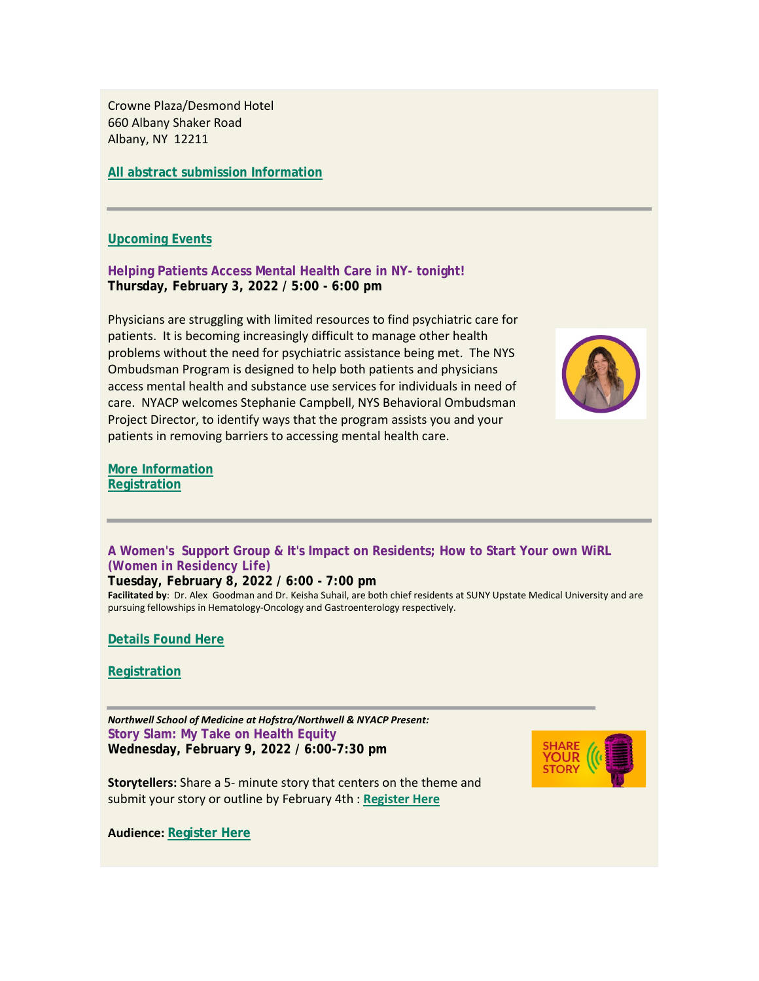Crowne Plaza/Desmond Hotel 660 Albany Shaker Road Albany, NY 12211

**All [abstract submission Information](https://www.nyacp.org/i4a/pages/index.cfm?pageid=3964)**

### **[Upcoming Events](https://www.nyacp.org/i4a/pages/index.cfm?pageid=3535)**

**Helping Patients Access Mental Health Care in NY- tonight! Thursday, February 3, 2022 / 5:00 - 6:00 pm**

Physicians are struggling with limited resources to find psychiatric care for patients. It is becoming increasingly difficult to manage other health problems without the need for psychiatric assistance being met. The NYS Ombudsman Program is designed to help both patients and physicians access mental health and substance use services for individuals in need of care. NYACP welcomes Stephanie Campbell, NYS Behavioral Ombudsman Project Director, to identify ways that the program assists you and your patients in removing barriers to accessing mental health care.



**[More Information](https://www.nyacp.org/i4a/pages/index.cfm?pageid=3535) [Registration](https://us02web.zoom.us/meeting/register/tZYqduuurDsjHtNU-b1VQ_5kpBpS3X5HR6fp)**

**A Women's Support Group & It's Impact on Residents; How to Start Your own WiRL** *(Women in Residency Life)*

**Tuesday, February 8, 2022 / 6:00 - 7:00 pm**

**Facilitated by**: Dr. Alex Goodman and Dr. Keisha Suhail, are both chief residents at SUNY Upstate Medical University and are pursuing fellowships in Hematology-Oncology and Gastroenterology respectively.

**[Details Found Here](https://www.nyacp.org/i4a/pages/index.cfm?pageid=3535)**

**[Registration](https://us02web.zoom.us/meeting/register/tZMscOyurT4tGdXpXbrzqs3nsNUGSmq4lVME)**

*Northwell School of Medicine at Hofstra/Northwell & NYACP Present:* **Story Slam: My Take on Health Equity Wednesday, February 9, 2022 / 6:00-7:30 pm**



**Storytellers:** Share a 5- minute story that centers on the theme and submit your story or outline by February 4th : **[Register Here](https://us02web.zoom.us/meeting/register/tZwof-qgrjkvHtagy1wvo6sNoWzUa3ImbO7R)**

**Audience: [Register Here](https://us02web.zoom.us/meeting/register/tZwof-qgrjkvHtagy1wvo6sNoWzUa3ImbO7R)**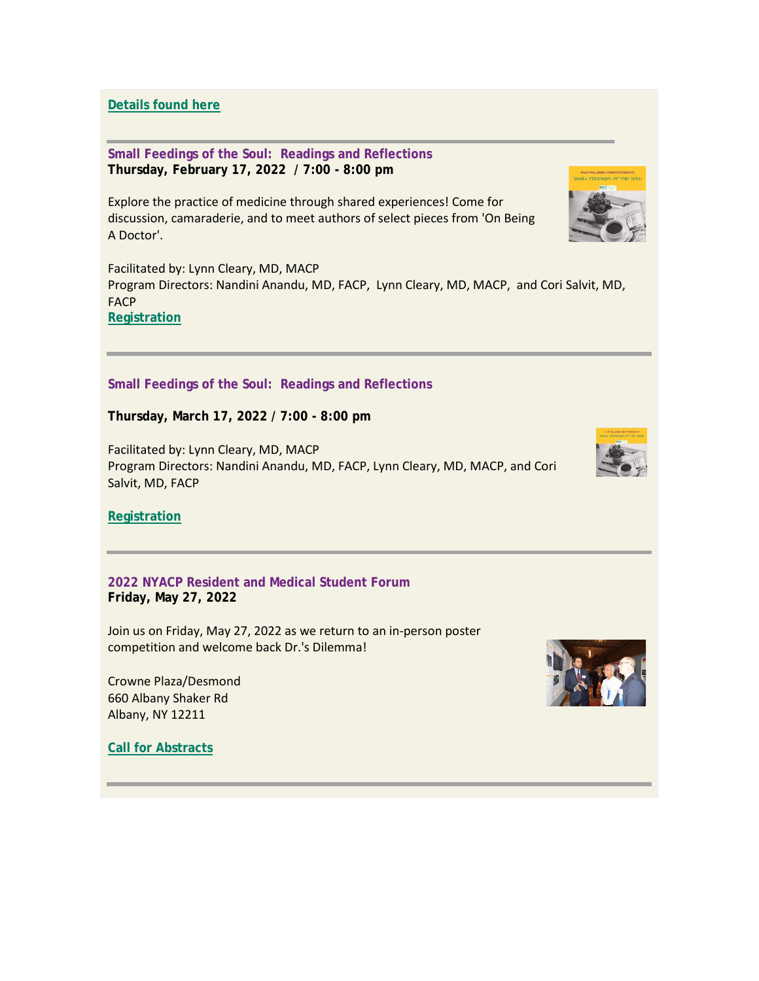**[Details found here](https://votervoice.s3.amazonaws.com/groups/nyacp/attachments/2022%20Brochure%20-%20Health%20Equity.pdf)**

**Small Feedings of the Soul: Readings and Reflections Thursday, February 17, 2022 / 7:00 - 8:00 pm**

Explore the practice of medicine through shared experiences! Come for discussion, camaraderie, and to meet authors of select pieces from 'On Being A Doctor'.

Facilitated by: Lynn Cleary, MD, MACP Program Directors: Nandini Anandu, MD, FACP, Lynn Cleary, MD, MACP, and Cori Salvit, MD, FACP **[Registration](https://us02web.zoom.us/meeting/register/tZ0vdO-uqjktEtPmF_ymvT9yfU-FqHQ7UBiW)**

**Small Feedings of the Soul: Readings and Reflections**

**Thursday, March 17, 2022 / 7:00 - 8:00 pm**

Facilitated by: Lynn Cleary, MD, MACP Program Directors: Nandini Anandu, MD, FACP, Lynn Cleary, MD, MACP, and Cori Salvit, MD, FACP



**[Registration](https://us02web.zoom.us/meeting/register/tZIpduCrqDwiH9DCjjM8wp5gHPg0sXp-NIS_)**

**2022 NYACP Resident and Medical Student Forum Friday, May 27, 2022**

Join us on Friday, May 27, 2022 as we return to an in-person poster competition and welcome back Dr.'s Dilemma!

Crowne Plaza/Desmond 660 Albany Shaker Rd Albany, NY 12211

**[Call for Abstracts](https://www.nyacp.org/i4a/pages/index.cfm?pageid=3414)**